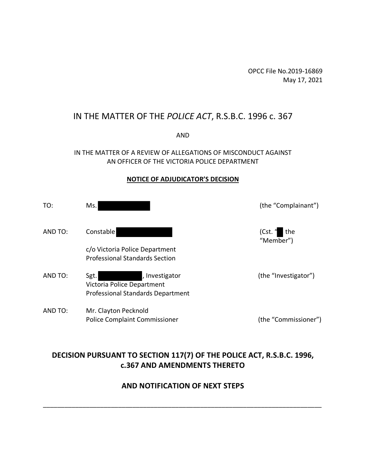OPCC File No.2019-16869 May 17, 2021

# IN THE MATTER OF THE *POLICE ACT*, R.S.B.C. 1996 c. 367

AND

#### IN THE MATTER OF A REVIEW OF ALLEGATIONS OF MISCONDUCT AGAINST AN OFFICER OF THE VICTORIA POLICE DEPARTMENT

#### **NOTICE OF ADJUDICATOR'S DECISION**

| TO:     | Ms.                                                                                              | (the "Complainant")           |
|---------|--------------------------------------------------------------------------------------------------|-------------------------------|
| AND TO: | Constable                                                                                        | (Cst. $"$<br>the<br>"Member") |
|         | c/o Victoria Police Department<br><b>Professional Standards Section</b>                          |                               |
| AND TO: | , Investigator<br>Sgt.<br>Victoria Police Department<br><b>Professional Standards Department</b> | (the "Investigator")          |
| AND TO: | Mr. Clayton Pecknold<br><b>Police Complaint Commissioner</b>                                     | (the "Commissioner")          |

# **DECISION PURSUANT TO SECTION 117(7) OF THE POLICE ACT, R.S.B.C. 1996, c.367 AND AMENDMENTS THERETO**

## **AND NOTIFICATION OF NEXT STEPS**

\_\_\_\_\_\_\_\_\_\_\_\_\_\_\_\_\_\_\_\_\_\_\_\_\_\_\_\_\_\_\_\_\_\_\_\_\_\_\_\_\_\_\_\_\_\_\_\_\_\_\_\_\_\_\_\_\_\_\_\_\_\_\_\_\_\_\_\_\_\_\_\_\_\_\_\_\_\_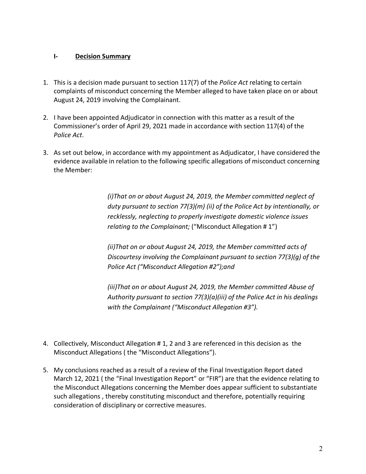## **I- Decision Summary**

- 1. This is a decision made pursuant to section 117(7) of the *Police Act* relating to certain complaints of misconduct concerning the Member alleged to have taken place on or about August 24, 2019 involving the Complainant.
- 2. I have been appointed Adjudicator in connection with this matter as a result of the Commissioner's order of April 29, 2021 made in accordance with section 117(4) of the *Police Act*.
- 3. As set out below, in accordance with my appointment as Adjudicator, I have considered the evidence available in relation to the following specific allegations of misconduct concerning the Member:

*(i)That on or about August 24, 2019, the Member committed neglect of duty pursuant to section 77(3)(m) (ii) of the Police Act by intentionally, or recklessly, neglecting to properly investigate domestic violence issues relating to the Complainant;* ("Misconduct Allegation # 1")

*(ii)That on or about August 24, 2019, the Member committed acts of Discourtesy involving the Complainant pursuant to section 77(3)(g) of the Police Act ("Misconduct Allegation #2");and*

*(iii)That on or about August 24, 2019, the Member committed Abuse of Authority pursuant to section 77(3)(a)(iii) of the Police Act in his dealings with the Complainant ("Misconduct Allegation #3").*

- 4. Collectively, Misconduct Allegation # 1, 2 and 3 are referenced in this decision as the Misconduct Allegations ( the "Misconduct Allegations").
- 5. My conclusions reached as a result of a review of the Final Investigation Report dated March 12, 2021 ( the "Final Investigation Report" or "FIR") are that the evidence relating to the Misconduct Allegations concerning the Member does appear sufficient to substantiate such allegations , thereby constituting misconduct and therefore, potentially requiring consideration of disciplinary or corrective measures.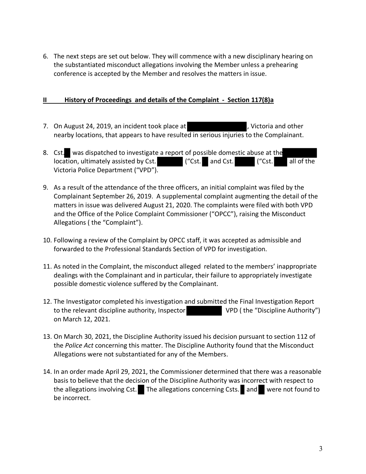6. The next steps are set out below. They will commence with a new disciplinary hearing on the substantiated misconduct allegations involving the Member unless a prehearing conference is accepted by the Member and resolves the matters in issue.

## **II History of Proceedings and details of the Complaint - Section 117(8)a**

- 7. On August 24, 2019, an incident took place at The Manuson Muslim Contrained other nearby locations, that appears to have resulted in serious injuries to the Complainant.
- 8. Cst. was dispatched to investigate a report of possible domestic abuse at the location, ultimately assisted by Cst. ("Cst. and Cst. ("Cst. all of the Victoria Police Department ("VPD").
- 9. As a result of the attendance of the three officers, an initial complaint was filed by the Complainant September 26, 2019. A supplemental complaint augmenting the detail of the matters in issue was delivered August 21, 2020. The complaints were filed with both VPD and the Office of the Police Complaint Commissioner ("OPCC"), raising the Misconduct Allegations ( the "Complaint").
- 10. Following a review of the Complaint by OPCC staff, it was accepted as admissible and forwarded to the Professional Standards Section of VPD for investigation.
- 11. As noted in the Complaint, the misconduct alleged related to the members' inappropriate dealings with the Complainant and in particular, their failure to appropriately investigate possible domestic violence suffered by the Complainant.
- 12. The Investigator completed his investigation and submitted the Final Investigation Report to the relevant discipline authority, Inspector VPD (the "Discipline Authority") on March 12, 2021.
- 13. On March 30, 2021, the Discipline Authority issued his decision pursuant to section 112 of the *Police Act* concerning this matter. The Discipline Authority found that the Misconduct Allegations were not substantiated for any of the Members.
- 14. In an order made April 29, 2021, the Commissioner determined that there was a reasonable basis to believe that the decision of the Discipline Authority was incorrect with respect to the allegations involving Cst. The allegations concerning Csts. and were not found to be incorrect.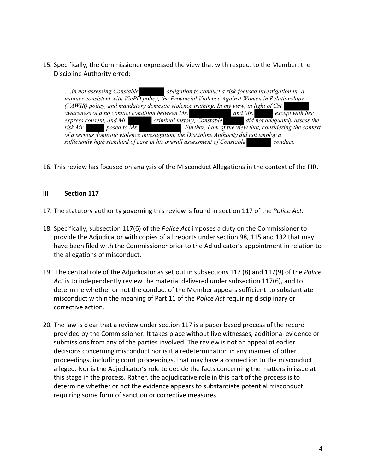### 15. Specifically, the Commissioner expressed the view that with respect to the Member, the Discipline Authority erred:

…*in not assessing Constable obligation to conduct a risk-focused investigation in a manner consistent with VicPD policy, the Provincial Violence Against Women in Relationships (VAWIR) policy, and mandatory domestic violence training. In my view, in light of Cst. awareness of a no contact condition between Ms. and Mr. except with her express consent, and Mr. criminal history, Constable did not adequately assess the risk Mr.* posed to  $\overline{Ms}$ . Further, I am of the view that, considering the context *of a serious domestic violence investigation, the Discipline Authority did not employ a sufficiently high standard of care in his overall assessment of Constable conduct.*

16. This review has focused on analysis of the Misconduct Allegations in the context of the FIR.

#### **III Section 117**

17. The statutory authority governing this review is found in section 117 of the *Police Act.*

- 18. Specifically, subsection 117(6) of the *Police Act* imposes a duty on the Commissioner to provide the Adjudicator with copies of all reports under section 98, 115 and 132 that may have been filed with the Commissioner prior to the Adjudicator's appointment in relation to the allegations of misconduct.
- 19. The central role of the Adjudicator as set out in subsections 117 (8) and 117(9) of the *Police Act* is to independently review the material delivered under subsection 117(6), and to determine whether or not the conduct of the Member appears sufficient to substantiate misconduct within the meaning of Part 11 of the *Police Act* requiring disciplinary or corrective action.
- 20. The law is clear that a review under section 117 is a paper based process of the record provided by the Commissioner. It takes place without live witnesses, additional evidence or submissions from any of the parties involved. The review is not an appeal of earlier decisions concerning misconduct nor is it a redetermination in any manner of other proceedings, including court proceedings, that may have a connection to the misconduct alleged. Nor is the Adjudicator's role to decide the facts concerning the matters in issue at this stage in the process. Rather, the adjudicative role in this part of the process is to determine whether or not the evidence appears to substantiate potential misconduct requiring some form of sanction or corrective measures.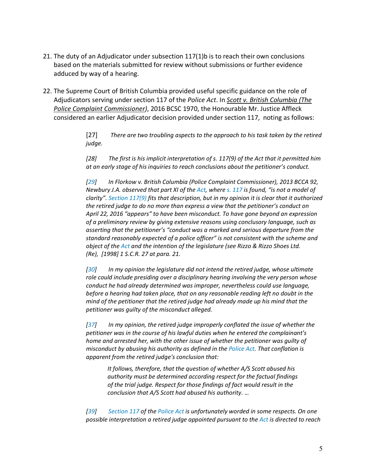- 21. The duty of an Adjudicator under subsection 117(1)b is to reach their own conclusions based on the materials submitted for review without submissions or further evidence adduced by way of a hearing.
- 22. The Supreme Court of British Columbia provided useful specific guidance on the role of Adjudicators serving under section 117 of the *Police Act*. In *Scott v. British Columbia (The Police Complaint Commissioner)*, 2016 BCSC 1970, the Honourable Mr. Justice Affleck considered an earlier Adjudicator decision provided under section 117, noting as follows:

[27] *There are two troubling aspects to the approach to his task taken by the retired judge.*

*[28] The first is his implicit interpretation of s. 117(9) of the Act that it permitted him at an early stage of his inquiries to reach conclusions about the petitioner's conduct.*

*[29] In Florkow v. British Columbia (Police Complaint Commissioner), 2013 BCCA 92, Newbury J.A. observed that part XI of the Act, where s. 117 is found, "is not a model of clarity". Section 117(9) fits that description, but in my opinion it is clear that it authorized the retired judge to do no more than express a view that the petitioner's conduct on April 22, 2016 "appears" to have been misconduct. To have gone beyond an expression of a preliminary review by giving extensive reasons using conclusory language, such as asserting that the petitioner's "conduct was a marked and serious departure from the standard reasonably expected of a police officer" is not consistent with the scheme and object of the Act and the intention of the legislature (see Rizzo & Rizzo Shoes Ltd. (Re), [1998] 1 S.C.R. 27 at para. 21.*

*[30] In my opinion the legislature did not intend the retired judge, whose ultimate role could include presiding over a disciplinary hearing involving the very person whose conduct he had already determined was improper, nevertheless could use language, before a hearing had taken place, that on any reasonable reading left no doubt in the mind of the petitioner that the retired judge had already made up his mind that the petitioner was guilty of the misconduct alleged.*

*[37] In my opinion, the retired judge improperly conflated the issue of whether the petitioner was in the course of his lawful duties when he entered the complainant's home and arrested her, with the other issue of whether the petitioner was guilty of misconduct by abusing his authority as defined in the Police Act. That conflation is apparent from the retired judge's conclusion that:*

*It follows, therefore, that the question of whether A/S Scott abused his authority must be determined according respect for the factual findings of the trial judge. Respect for those findings of fact would result in the conclusion that A/S Scott had abused his authority. …*

*[39] Section 117 of the Police Act is unfortunately worded in some respects. On one possible interpretation a retired judge appointed pursuant to the Act is directed to reach*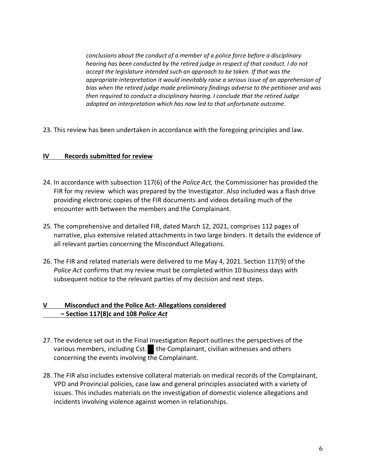*conclusions about the conduct of a member of a police force before a disciplinary hearing has been conducted by the retired judge in respect of that conduct. I do not accept the legislature intended such an approach to be taken. If that was the appropriate interpretation it would inevitably raise a serious issue of an apprehension of bias when the retired judge made preliminary findings adverse to the petitioner and was then required to conduct a disciplinary hearing. I conclude that the retired Judge adopted an interpretation which has now led to that unfortunate outcome.*

23. This review has been undertaken in accordance with the foregoing principles and law.

#### **IV Records submitted for review**

- 24. In accordance with subsection 117(6) of the *Police Act,* the Commissioner has provided the FIR for my review which was prepared by the Investigator. Also included was a flash drive providing electronic copies of the FIR documents and videos detailing much of the encounter with between the members and the Complainant.
- 25. The comprehensive and detailed FIR, dated March 12, 2021, comprises 112 pages of narrative, plus extensive related attachments in two large binders. It details the evidence of all relevant parties concerning the Misconduct Allegations.
- 26. The FIR and related materials were delivered to me May 4, 2021. Section 117(9) of the *Police Act* confirms that my review must be completed within 10 business days with subsequent notice to the relevant parties of my decision and next steps.

# **V Misconduct and the Police Act- Allegations considered – Section 117(8)c and 108** *Police Act*

- 27. The evidence set out in the Final Investigation Report outlines the perspectives of the various members, including Cst.  $\bullet$  the Complainant, civilian witnesses and others concerning the events involving the Complainant.
- 28. The FIR also includes extensive collateral materials on medical records of the Complainant, VPD and Provincial policies, case law and general principles associated with a variety of issues. This includes materials on the investigation of domestic violence allegations and incidents involving violence against women in relationships.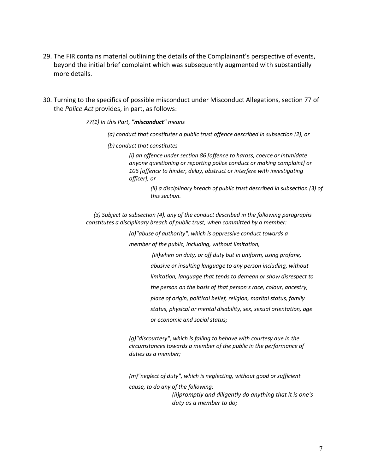- 29. The FIR contains material outlining the details of the Complainant's perspective of events, beyond the initial brief complaint which was subsequently augmented with substantially more details.
- 30. Turning to the specifics of possible misconduct under Misconduct Allegations, section 77 of the *Police Act* provides, in part, as follows:

*77(1) In this Part, "misconduct" means*

- *(a) conduct that constitutes a public trust offence described in subsection (2), or*
- *(b) conduct that constitutes*

*(i) an offence under section 86 [offence to harass, coerce or intimidate anyone questioning or reporting police conduct or making complaint] or 106 [offence to hinder, delay, obstruct or interfere with investigating officer], or*

> *(ii) a disciplinary breach of public trust described in subsection (3) of this section.*

 *(3) Subject to subsection (4), any of the conduct described in the following paragraphs constitutes a disciplinary breach of public trust, when committed by a member:*

*(a)"abuse of authority", which is oppressive conduct towards a* 

*member of the public, including, without limitation,*

*(iii)when on duty, or off duty but in uniform, using profane,* 

*abusive or insulting language to any person including, without* 

*limitation, language that tends to demean or show disrespect to* 

*the person on the basis of that person's race, colour, ancestry,* 

*place of origin, political belief, religion, marital status, family* 

*status, physical or mental disability, sex, sexual orientation, age* 

*or economic and social status;*

*(g)"discourtesy", which is failing to behave with courtesy due in the circumstances towards a member of the public in the performance of duties as a member;*

*(m)"neglect of duty", which is neglecting, without good or sufficient cause, to do any of the following: (ii)promptly and diligently do anything that it is one's duty as a member to do;*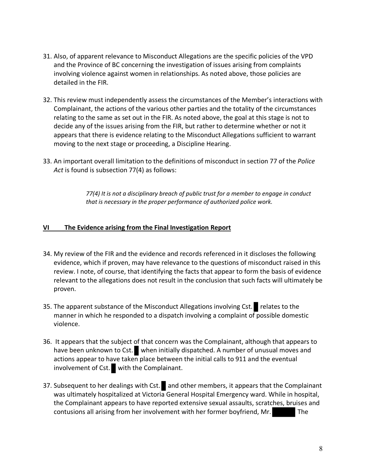- 31. Also, of apparent relevance to Misconduct Allegations are the specific policies of the VPD and the Province of BC concerning the investigation of issues arising from complaints involving violence against women in relationships. As noted above, those policies are detailed in the FIR.
- 32. This review must independently assess the circumstances of the Member's interactions with Complainant, the actions of the various other parties and the totality of the circumstances relating to the same as set out in the FIR. As noted above, the goal at this stage is not to decide any of the issues arising from the FIR, but rather to determine whether or not it appears that there is evidence relating to the Misconduct Allegations sufficient to warrant moving to the next stage or proceeding, a Discipline Hearing.
- 33. An important overall limitation to the definitions of misconduct in section 77 of the *Police Act* is found is subsection 77(4) as follows:

*77(4) It is not a disciplinary breach of public trust for a member to engage in conduct that is necessary in the proper performance of authorized police work.*

## **VI The Evidence arising from the Final Investigation Report**

- 34. My review of the FIR and the evidence and records referenced in it discloses the following evidence, which if proven, may have relevance to the questions of misconduct raised in this review. I note, of course, that identifying the facts that appear to form the basis of evidence relevant to the allegations does not result in the conclusion that such facts will ultimately be proven.
- 35. The apparent substance of the Misconduct Allegations involving Cst. relates to the manner in which he responded to a dispatch involving a complaint of possible domestic violence.
- 36. It appears that the subject of that concern was the Complainant, although that appears to have been unknown to Cst. when initially dispatched. A number of unusual moves and actions appear to have taken place between the initial calls to 911 and the eventual involvement of Cst. with the Complainant.
- 37. Subsequent to her dealings with Cst. and other members, it appears that the Complainant was ultimately hospitalized at Victoria General Hospital Emergency ward. While in hospital, the Complainant appears to have reported extensive sexual assaults, scratches, bruises and contusions all arising from her involvement with her former boyfriend, Mr. The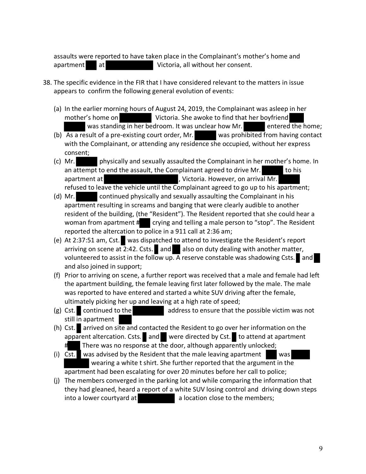assaults were reported to have taken place in the Complainant's mother's home and apartment at at Victoria, all without her consent.

- 38. The specific evidence in the FIR that I have considered relevant to the matters in issue appears to confirm the following general evolution of events:
	- (a) In the earlier morning hours of August 24, 2019, the Complainant was asleep in her mother's home on Victoria. She awoke to find that her boyfriend was standing in her bedroom. It was unclear how Mr. entered the home;
	- (b) As a result of a pre-existing court order, Mr. was prohibited from having contact with the Complainant, or attending any residence she occupied, without her express consent;
	- (c) Mr. physically and sexually assaulted the Complainant in her mother's home. In an attempt to end the assault, the Complainant agreed to drive Mr. to his apartment at  $\qquad \qquad$ , Victoria. However, on arrival Mr. refused to leave the vehicle until the Complainant agreed to go up to his apartment;
	- (d) Mr. continued physically and sexually assaulting the Complainant in his apartment resulting in screams and banging that were clearly audible to another resident of the building, (the "Resident"). The Resident reported that she could hear a woman from apartment  $\sharp$  crying and telling a male person to "stop". The Resident reported the altercation to police in a 911 call at 2:36 am;
	- (e) At 2:37:51 am, Cst. was dispatched to attend to investigate the Resident's report arriving on scene at  $2:42$ . Csts. and also on duty dealing with another matter, volunteered to assist in the follow up. A reserve constable was shadowing Csts. and and also joined in support;
	- (f) Prior to arriving on scene, a further report was received that a male and female had left the apartment building, the female leaving first later followed by the male. The male was reported to have entered and started a white SUV driving after the female, ultimately picking her up and leaving at a high rate of speed;
	- (g) Cst. continued to the address to ensure that the possible victim was not still in apartment
	- (h) Cst. arrived on site and contacted the Resident to go over her information on the apparent altercation. Csts. and were directed by Cst. to attend at apartment There was no response at the door, although apparently unlocked;
	- (i) Cst. was advised by the Resident that the male leaving apartment was wearing a white t shirt. She further reported that the argument in the apartment had been escalating for over 20 minutes before her call to police;
	- (j) The members converged in the parking lot and while comparing the information that they had gleaned, heard a report of a white SUV losing control and driving down steps into a lower courtyard at a location close to the members;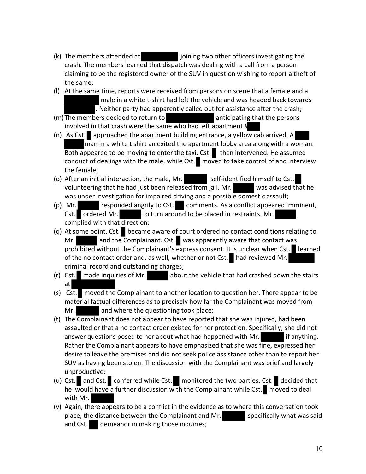- (k) The members attended at joining two other officers investigating the crash. The members learned that dispatch was dealing with a call from a person claiming to be the registered owner of the SUV in question wishing to report a theft of the same;
- (l) At the same time, reports were received from persons on scene that a female and a male in a white t-shirt had left the vehicle and was headed back towards . Neither party had apparently called out for assistance after the crash;
- (m) The members decided to return to anticipating that the persons involved in that crash were the same who had left apartment #
- (n) As Cst. approached the apartment building entrance, a yellow cab arrived. A man in a white t shirt an exited the apartment lobby area along with a woman.  $\overline{\text{Both} }$  appeared to be moving to enter the taxi. Cst. then intervened. He assumed conduct of dealings with the male, while Cst. moved to take control of and interview the female;
- (o) After an initial interaction, the male, Mr. self-identified himself to Cst. volunteering that he had just been released from jail. Mr. was advised that he was under investigation for impaired driving and a possible domestic assault;
- (p) Mr. responded angrily to Cst. comments. As a conflict appeared imminent, Cst. ordered Mr. to turn around to be placed in restraints. Mr. complied with that direction;
- (q) At some point, Cst. became aware of court ordered no contact conditions relating to Mr. **and the Complainant. Cst.** was apparently aware that contact was prohibited without the Complainant's express consent. It is unclear when Cst. learned of the no contact order and, as well, whether or not Cst. had reviewed Mr. criminal record and outstanding charges;
- (r) Cst. made inquiries of Mr. about the vehicle that had crashed down the stairs at
- (s) Cst. moved the Complainant to another location to question her. There appear to be material factual differences as to precisely how far the Complainant was moved from Mr. **and where the questioning took place;**
- (t) The Complainant does not appear to have reported that she was injured, had been assaulted or that a no contact order existed for her protection. Specifically, she did not answer questions posed to her about what had happened with Mr. if anything. Rather the Complainant appears to have emphasized that she was fine, expressed her desire to leave the premises and did not seek police assistance other than to report her SUV as having been stolen. The discussion with the Complainant was brief and largely unproductive;
- (u) Cst. and Cst. conferred while Cst. monitored the two parties. Cst. decided that he would have a further discussion with the Complainant while Cst.  $\Box$  moved to deal with Mr.
- (v) Again, there appears to be a conflict in the evidence as to where this conversation took place, the distance between the Complainant and Mr. Specifically what was said and Cst. demeanor in making those inquiries;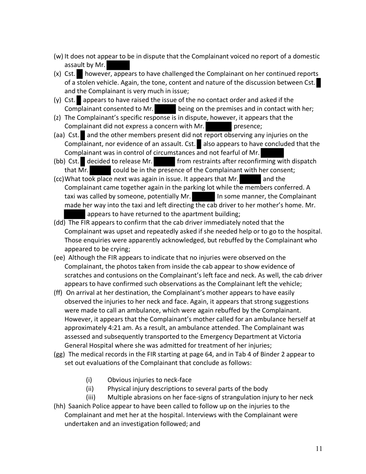- (w) It does not appear to be in dispute that the Complainant voiced no report of a domestic assault by Mr.
- $(x)$  Cst. however, appears to have challenged the Complainant on her continued reports of a stolen vehicle. Again, the tone, content and nature of the discussion between Cst. and the Complainant is very much in issue;
- (y) Cst. appears to have raised the issue of the no contact order and asked if the Complainant consented to Mr.  $\qquad \qquad$  being on the premises and in contact with her;
- (z) The Complainant's specific response is in dispute, however, it appears that the Complainant did not express a concern with Mr. presence;
- (aa) Cst. and the other members present did not report observing any injuries on the Complainant, nor evidence of an assault. Cst. also appears to have concluded that the Complainant was in control of circumstances and not fearful of Mr.
- (bb) Cst. decided to release Mr. from restraints after reconfirming with dispatch that  $\overline{Mr}$ . could be in the presence of the Complainant with her consent;
- (cc)What took place next was again in issue. It appears that Mr. and the Complainant came together again in the parking lot while the members conferred. A taxi was called by someone, potentially Mr. In some manner, the Complainant made her way into the taxi and left directing the cab driver to her mother's home. Mr. appears to have returned to the apartment building;
- (dd) The FIR appears to confirm that the cab driver immediately noted that the Complainant was upset and repeatedly asked if she needed help or to go to the hospital. Those enquiries were apparently acknowledged, but rebuffed by the Complainant who appeared to be crying;
- (ee) Although the FIR appears to indicate that no injuries were observed on the Complainant, the photos taken from inside the cab appear to show evidence of scratches and contusions on the Complainant's left face and neck. As well, the cab driver appears to have confirmed such observations as the Complainant left the vehicle;
- (ff) On arrival at her destination, the Complainant's mother appears to have easily observed the injuries to her neck and face. Again, it appears that strong suggestions were made to call an ambulance, which were again rebuffed by the Complainant. However, it appears that the Complainant's mother called for an ambulance herself at approximately 4:21 am. As a result, an ambulance attended. The Complainant was assessed and subsequently transported to the Emergency Department at Victoria General Hospital where she was admitted for treatment of her injuries;
- (gg) The medical records in the FIR starting at page 64, and in Tab 4 of Binder 2 appear to set out evaluations of the Complainant that conclude as follows:
	- (i) Obvious injuries to neck-face
	- (ii) Physical injury descriptions to several parts of the body
- (iii) Multiple abrasions on her face-signs of strangulation injury to her neck (hh) Saanich Police appear to have been called to follow up on the injuries to the Complainant and met her at the hospital. Interviews with the Complainant were undertaken and an investigation followed; and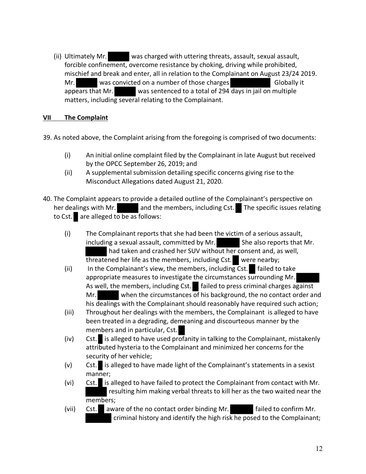(ii) Ultimately Mr. was charged with uttering threats, assault, sexual assault, forcible confinement, overcome resistance by choking, driving while prohibited, mischief and break and enter, all in relation to the Complainant on August 23/24 2019. Mr. Was convicted on a number of those charges Globally it appears that Mr. was sentenced to a total of 294 days in jail on multiple matters, including several relating to the Complainant.

## **VII The Complaint**

39. As noted above, the Complaint arising from the foregoing is comprised of two documents:

- (i) An initial online complaint filed by the Complainant in late August but received by the OPCC September 26, 2019; and
- (ii) A supplemental submission detailing specific concerns giving rise to the Misconduct Allegations dated August 21, 2020.
- 40. The Complaint appears to provide a detailed outline of the Complainant's perspective on her dealings with Mr. and the members, including Cst. The specific issues relating to Cst. are alleged to be as follows:
	- (i) The Complainant reports that she had been the victim of a serious assault, including a sexual assault, committed by Mr. She also reports that Mr. had taken and crashed her SUV without her consent and, as well, threatened her life as the members, including Cst. were nearby;
	- (ii) In the Complainant's view, the members, including  $Cst.$  failed to take appropriate measures to investigate the circumstances surrounding Mr. As well, the members, including Cst.  $\blacksquare$  failed to press criminal charges against Mr. when the circumstances of his background, the no contact order and his dealings with the Complainant should reasonably have required such action;
	- (iii) Throughout her dealings with the members, the Complainant is alleged to have been treated in a degrading, demeaning and discourteous manner by the members and in particular, Cst.
	- (iv) Cst. is alleged to have used profanity in talking to the Complainant, mistakenly attributed hysteria to the Complainant and minimized her concerns for the security of her vehicle;
	- (v) Cst. is alleged to have made light of the Complainant's statements in a sexist manner;
	- (vi) Cst. is alleged to have failed to protect the Complainant from contact with Mr. resulting him making verbal threats to kill her as the two waited near the members;
	- (vii) Cst. aware of the no contact order binding Mr. failed to confirm Mr. criminal history and identify the high risk he posed to the Complainant;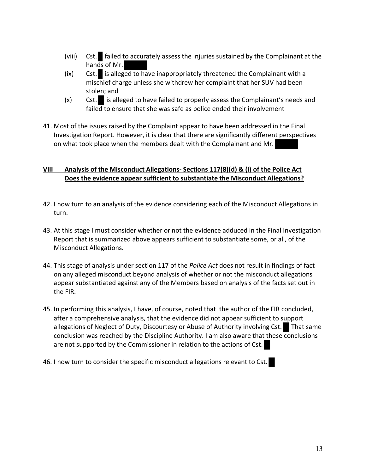- (viii)  $Cst.$  failed to accurately assess the injuries sustained by the Complainant at the hands of Mr.
- $(ix)$  Cst. is alleged to have inappropriately threatened the Complainant with a mischief charge unless she withdrew her complaint that her SUV had been stolen; and
- (x) Cst. is alleged to have failed to properly assess the Complainant's needs and failed to ensure that she was safe as police ended their involvement
- 41. Most of the issues raised by the Complaint appear to have been addressed in the Final Investigation Report. However, it is clear that there are significantly different perspectives on what took place when the members dealt with the Complainant and Mr.

# **VIII Analysis of the Misconduct Allegations- Sections 117(8)(d) & (i) of the Police Act Does the evidence appear sufficient to substantiate the Misconduct Allegations?**

- 42. I now turn to an analysis of the evidence considering each of the Misconduct Allegations in turn.
- 43. At this stage I must consider whether or not the evidence adduced in the Final Investigation Report that is summarized above appears sufficient to substantiate some, or all, of the Misconduct Allegations.
- 44. This stage of analysis under section 117 of the *Police Act* does not result in findings of fact on any alleged misconduct beyond analysis of whether or not the misconduct allegations appear substantiated against any of the Members based on analysis of the facts set out in the FIR.
- 45. In performing this analysis, I have, of course, noted that the author of the FIR concluded, after a comprehensive analysis, that the evidence did not appear sufficient to support allegations of Neglect of Duty, Discourtesy or Abuse of Authority involving Cst. That same conclusion was reached by the Discipline Authority. I am also aware that these conclusions are not supported by the Commissioner in relation to the actions of Cst.
- 46. I now turn to consider the specific misconduct allegations relevant to Cst.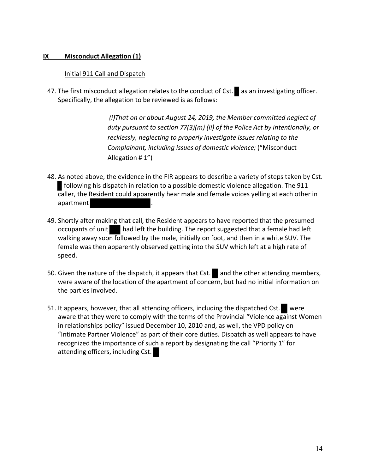#### **IX Misconduct Allegation (1)**

#### Initial 911 Call and Dispatch

47. The first misconduct allegation relates to the conduct of Cst. as an investigating officer. Specifically, the allegation to be reviewed is as follows:

> *(i)That on or about August 24, 2019, the Member committed neglect of duty pursuant to section 77(3)(m) (ii) of the Police Act by intentionally, or recklessly, neglecting to properly investigate issues relating to the Complainant, including issues of domestic violence;* ("Misconduct Allegation # 1")

- 48. As noted above, the evidence in the FIR appears to describe a variety of steps taken by Cst. following his dispatch in relation to a possible domestic violence allegation. The 911 caller, the Resident could apparently hear male and female voices yelling at each other in apartment .
- 49. Shortly after making that call, the Resident appears to have reported that the presumed occupants of unit had left the building. The report suggested that a female had left walking away soon followed by the male, initially on foot, and then in a white SUV. The female was then apparently observed getting into the SUV which left at a high rate of speed.
- 50. Given the nature of the dispatch, it appears that  $Cst.$  and the other attending members, were aware of the location of the apartment of concern, but had no initial information on the parties involved.
- 51. It appears, however, that all attending officers, including the dispatched Cst. were aware that they were to comply with the terms of the Provincial "Violence against Women in relationships policy" issued December 10, 2010 and, as well, the VPD policy on "Intimate Partner Violence" as part of their core duties. Dispatch as well appears to have recognized the importance of such a report by designating the call "Priority 1" for attending officers, including Cst.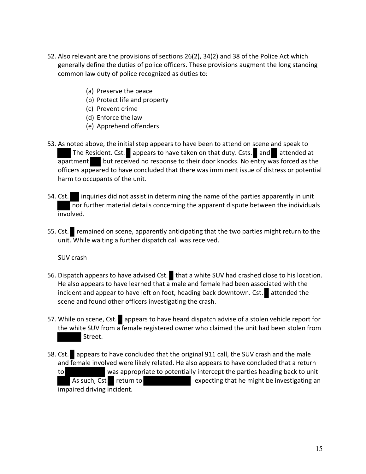- 52. Also relevant are the provisions of sections 26(2), 34(2) and 38 of the Police Act which generally define the duties of police officers. These provisions augment the long standing common law duty of police recognized as duties to:
	- (a) Preserve the peace
	- (b) Protect life and property
	- (c) Prevent crime
	- (d) Enforce the law
	- (e) Apprehend offenders
- 53. As noted above, the initial step appears to have been to attend on scene and speak to The Resident. Cst. appears to have taken on that duty. Csts. and attended at apartment but received no response to their door knocks. No entry was forced as the officers appeared to have concluded that there was imminent issue of distress or potential harm to occupants of the unit.
- 54. Cst. inquiries did not assist in determining the name of the parties apparently in unit nor further material details concerning the apparent dispute between the individuals involved.
- 55. Cst. remained on scene, apparently anticipating that the two parties might return to the unit. While waiting a further dispatch call was received.

#### SUV crash

- 56. Dispatch appears to have advised Cst. that a white SUV had crashed close to his location. He also appears to have learned that  $a$  male and female had been associated with the incident and appear to have left on foot, heading back downtown. Cst. attended the scene and found other officers investigating the crash.
- 57. While on scene, Cst. appears to have heard dispatch advise of a stolen vehicle report for the white SUV from a female registered owner who claimed the unit had been stolen from Street.
- 58. Cst. appears to have concluded that the original 911 call, the SUV crash and the male and female involved were likely related. He also appears to have concluded that a return to was appropriate to potentially intercept the parties heading back to unit As such, Cst return to expecting that he might be investigating an impaired driving incident.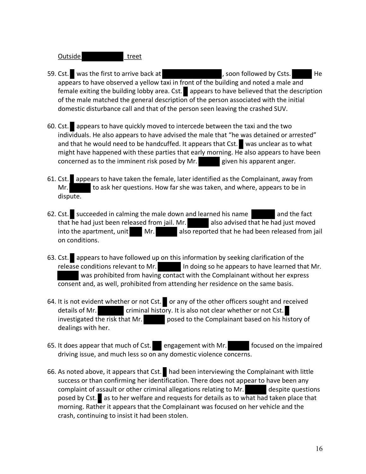# Outside treet

- 59. Cst. was the first to arrive back at  $\overline{a}$ , soon followed by Csts. appears to have observed a yellow taxi in front of the building and noted a male and female exiting the building lobby area. Cst. appears to have believed that the description of the male matched the general description of the person associated with the initial domestic disturbance call and that of the person seen leaving the crashed SUV.
- 60. Cst. appears to have quickly moved to intercede between the taxi and the two individuals. He also appears to have advised the male that "he was detained or arrested" and that he would need to be handcuffed. It appears that Cst. was unclear as to what might have happened with these parties that early morning. He also appears to have been concerned as to the imminent risk posed by Mr. given his apparent anger.
- 61. Cst. appears to have taken the female, later identified as the Complainant, away from Mr. to ask her questions. How far she was taken, and where, appears to be in dispute.
- 62. Cst. succeeded in calming the male down and learned his name and the fact that he had just been released from jail. Mr. also advised that he had just moved into the apartment, unit  $\blacksquare$  Mr. also reported that he had been released from jail on conditions.
- 63. Cst. appears to have followed up on this information by seeking clarification of the release conditions relevant to Mr.  $\|\cdot\|$  In doing so he appears to have learned that Mr. was prohibited from having contact with the Complainant without her express consent and, as well, prohibited from attending her residence on the same basis.
- 64. It is not evident whether or not Cst. or any of the other officers sought and received details of Mr. criminal history. It is also not clear whether or not Cst. investigated the risk that Mr. posed to the Complainant based on his history of dealings with her.
- 65. It does appear that much of Cst. engagement with Mr. **Focused on the impaired** driving issue, and much less so on any domestic violence concerns.
- 66. As noted above, it appears that Cst. had been interviewing the Complainant with little success or than confirming her identification. There does not appear to have been any complaint of assault or other criminal allegations relating to Mr. despite questions posed by Cst. as to her welfare and requests for details as to what had taken place that morning. Rather it appears that the Complainant was focused on her vehicle and the crash, continuing to insist it had been stolen.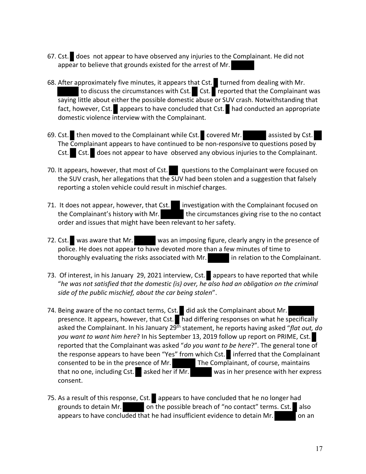- 67. Cst. does not appear to have observed any injuries to the Complainant. He did not appear to believe that grounds existed for the arrest of Mr.
- 68. After approximately five minutes, it appears that Cst. turned from dealing with Mr. to discuss the circumstances with Cst.  $\Gamma$  Cst.  $\Gamma$  reported that the Complainant was saying little about either the possible domestic abuse or SUV crash. Notwithstanding that fact, however, Cst. appears to have concluded that Cst. had conducted an appropriate domestic violence interview with the Complainant.
- 69. Cst. then moved to the Complainant while Cst. covered Mr. assisted by Cst. The Complainant appears to have continued to be non-responsive to questions posed by Cst. Cst. does not appear to have observed any obvious injuries to the Complainant.
- 70. It appears, however, that most of Cst. questions to the Complainant were focused on the SUV crash, her allegations that the SUV had been stolen and a suggestion that falsely reporting a stolen vehicle could result in mischief charges.
- 71. It does not appear, however, that Cst. investigation with the Complainant focused on the Complainant's history with Mr. the circumstances giving rise to the no contact order and issues that might have been relevant to her safety.
- 72. Cst. was aware that Mr. was an imposing figure, clearly angry in the presence of police. He does not appear to have devoted more than a few minutes of time to thoroughly evaluating the risks associated with Mr. in relation to the Complainant.
- 73. Of interest, in his January 29, 2021 interview, Cst. appears to have reported that while "*he was not satisfied that the domestic (is) over, he also had an obligation on the criminal side of the public mischief, about the car being stolen*".
- 74. Being aware of the no contact terms, Cst. did ask the Complainant about Mr. presence. It appears, however, that Cst.  $\blacksquare$  had differing responses on what he specifically asked the Complainant. In his January 29<sup>th</sup> statement, he reports having asked "*flat out, do you want to want him here*? In his September 13, 2019 follow up report on PRIME, Cst. reported that the Complainant was asked "*do you want to be here*?". The general tone of the response appears to have been "Yes" from which Cst. inferred that the Complainant consented to be in the presence of Mr. The Complainant, of course, maintains that no one, including Cst. asked her if Mr. was in her presence with her express consent.
- 75. As a result of this response, Cst. appears to have concluded that he no longer had grounds to detain Mr. on the possible breach of "no contact" terms. Cst. also appears to have concluded that he had insufficient evidence to detain Mr.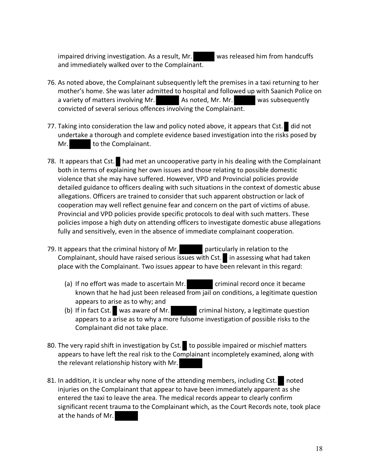impaired driving investigation. As a result, Mr. was released him from handcuffs and immediately walked over to the Complainant.

- 76. As noted above, the Complainant subsequently left the premises in a taxi returning to her mother's home. She was later admitted to hospital and followed up with Saanich Police on a variety of matters involving Mr. As noted, Mr. Mr. was subsequently convicted of several serious offences involving the Complainant.
- 77. Taking into consideration the law and policy noted above, it appears that Cst. did not undertake a thorough and complete evidence based investigation into the risks posed by Mr. to the Complainant.
- 78. It appears that Cst.  $\Box$  had met an uncooperative party in his dealing with the Complainant both in terms of explaining her own issues and those relating to possible domestic violence that she may have suffered. However, VPD and Provincial policies provide detailed guidance to officers dealing with such situations in the context of domestic abuse allegations. Officers are trained to consider that such apparent obstruction or lack of cooperation may well reflect genuine fear and concern on the part of victims of abuse. Provincial and VPD policies provide specific protocols to deal with such matters. These policies impose a high duty on attending officers to investigate domestic abuse allegations fully and sensitively, even in the absence of immediate complainant cooperation.
- 79. It appears that the criminal history of Mr. **particularly in relation to the** Complainant, should have raised serious issues with Cst. in assessing what had taken place with the Complainant. Two issues appear to have been relevant in this regard:
	- (a) If no effort was made to ascertain Mr. criminal record once it became known that he had just been released from jail on conditions, a legitimate question appears to arise as to why; and
	- (b) If in fact Cst. was aware of Mr. criminal history, a legitimate question appears to a arise as to why a more fulsome investigation of possible risks to the Complainant did not take place.
- 80. The very rapid shift in investigation by Cst. to possible impaired or mischief matters appears to have left the real risk to the Complainant incompletely examined, along with the relevant relationship history with Mr.
- 81. In addition, it is unclear why none of the attending members, including Cst. noted injuries on the Complainant that appear to have been immediately apparent as she entered the taxi to leave the area. The medical records appear to clearly confirm significant recent trauma to the Complainant which, as the Court Records note, took place at the hands of Mr.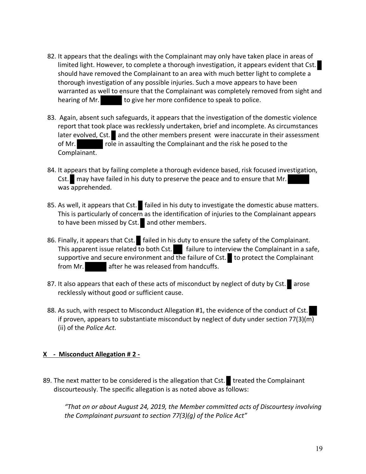- 82. It appears that the dealings with the Complainant may only have taken place in areas of limited light. However, to complete a thorough investigation, it appears evident that Cst. should have removed the Complainant to an area with much better light to complete a thorough investigation of any possible injuries. Such a move appears to have been warranted as well to ensure that the Complainant was completely removed from sight and hearing of Mr. to give her more confidence to speak to police.
- 83. Again, absent such safeguards, it appears that the investigation of the domestic violence report that took place was recklessly undertaken, brief and incomplete. As circumstances  $\lvert$  later evolved, Cst.  $\lvert$  and the other members present were inaccurate in their assessment of Mr.  $\overline{\phantom{a}}$  role in assaulting the Complainant and the risk he posed to the Complainant.
- 84. It appears that by failing complete a thorough evidence based, risk focused investigation, Cst. may have failed in his duty to preserve the peace and to ensure that Mr. was apprehended.
- 85. As well, it appears that Cst. failed in his duty to investigate the domestic abuse matters. This is particularly of concern as the identification of injuries to the Complainant appears to have been missed by Cst. and other members.
- 86. Finally, it appears that Cst. failed in his duty to ensure the safety of the Complainant. This apparent issue related to both Cst.  $\blacksquare$  failure to interview the Complainant in a safe, supportive and secure environment and the failure of Cst.  $\Box$  to protect the Complainant from Mr. **after he was released from handcuffs.**
- 87. It also appears that each of these acts of misconduct by neglect of duty by Cst. arose recklessly without good or sufficient cause.
- 88. As such, with respect to Misconduct Allegation #1, the evidence of the conduct of Cst. if proven, appears to substantiate misconduct by neglect of duty under section 77(3)(m) (ii) of the *Police Act*.

## **X - Misconduct Allegation # 2 -**

89. The next matter to be considered is the allegation that Cst. treated the Complainant discourteously. The specific allegation is as noted above as follows:

*"That on or about August 24, 2019, the Member committed acts of Discourtesy involving the Complainant pursuant to section 77(3)(g) of the Police Act"*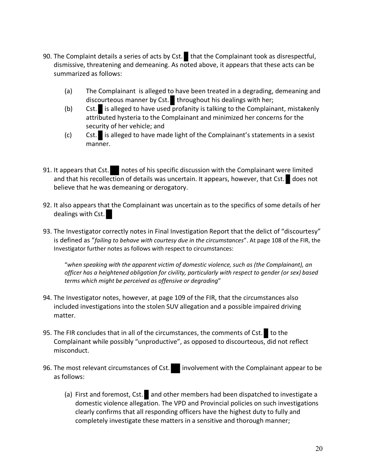- 90. The Complaint details a series of acts by Cst. that the Complainant took as disrespectful, dismissive, threatening and demeaning. As noted above, it appears that these acts can be summarized as follows:
	- (a) The Complainant is alleged to have been treated in a degrading, demeaning and discourteous manner by Cst. throughout his dealings with her;
	- (b) Cst. is alleged to have used profanity is talking to the Complainant, mistakenly attributed hysteria to the Complainant and minimized her concerns for the security of her vehicle; and
	- (c) Cst. is alleged to have made light of the Complainant's statements in a sexist manner.
- 91. It appears that Cst. notes of his specific discussion with the Complainant were limited and that his recollection of details was uncertain. It appears, however, that Cst. does not believe that he was demeaning or derogatory.
- 92. It also appears that the Complainant was uncertain as to the specifics of some details of her dealings with Cst.
- 93. The Investigator correctly notes in Final Investigation Report that the delict of "discourtesy" is defined as "*failing to behave with courtesy due in the circumstances*". At page 108 of the FIR, the Investigator further notes as follows with respect to circumstances:

"*when speaking with the apparent victim of domestic violence, such as (the Complainant), an officer has a heightened obligation for civility, particularly with respect to gender (or sex) based terms which might be perceived as offensive or degrading*"

- 94. The Investigator notes, however, at page 109 of the FIR, that the circumstances also included investigations into the stolen SUV allegation and a possible impaired driving matter.
- 95. The FIR concludes that in all of the circumstances, the comments of Cst. to the Complainant while possibly "unproductive", as opposed to discourteous, did not reflect misconduct.
- 96. The most relevant circumstances of Cst. involvement with the Complainant appear to be as follows:
	- (a) First and foremost, Cst. and other members had been dispatched to investigate a domestic violence allegation. The VPD and Provincial policies on such investigations clearly confirms that all responding officers have the highest duty to fully and completely investigate these matters in a sensitive and thorough manner;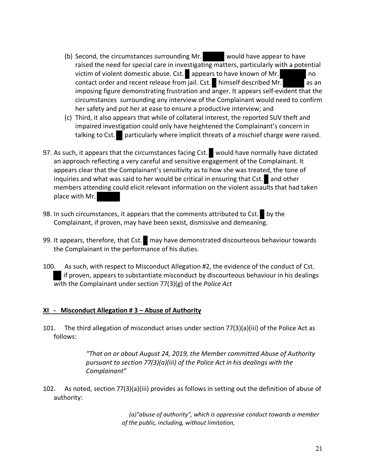- (b) Second, the circumstances surrounding Mr. would have appear to have raised the need for special care in investigating matters, particularly with a potential victim of violent domestic abuse. Cst. appears to have known of Mr. contact order and recent release from jail. Cst. himself described Mr.  $\overline{\phantom{a}}$  as an imposing figure demonstrating frustration and anger. It appears self-evident that the circumstances surrounding any interview of the Complainant would need to confirm her safety and put her at ease to ensure a productive interview; and
- (c) Third, it also appears that while of collateral interest, the reported SUV theft and impaired investigation could only have heightened the Complainant's concern in talking to Cst. particularly where implicit threats of a mischief charge were raised.
- 97. As such, it appears that the circumstances facing Cst. would have normally have dictated an approach reflecting a very careful and sensitive engagement of the Complainant. It appears clear that the Complainant's sensitivity as to how she was treated, the tone of inquiries and what was said to her would be critical in ensuring that Cst. and other members attending could elicit relevant information on the violent assaults that had taken place with Mr.
- 98. In such circumstances, it appears that the comments attributed to Cst. by the Complainant, if proven, may have been sexist, dismissive and demeaning.
- 99. It appears, therefore, that Cst. may have demonstrated discourteous behaviour towards the Complainant in the performance of his duties.
- 100. As such, with respect to Misconduct Allegation #2, the evidence of the conduct of Cst. if proven, appears to substantiate misconduct by discourteous behaviour in his dealings with the Complainant under section 77(3)(g) of the *Police Act*

## **XI - Misconduct Allegation # 3 – Abuse of Authority**

101. The third allegation of misconduct arises under section 77(3)(a)(iii) of the Police Act as follows:

> *"That on or about August 24, 2019, the Member committed Abuse of Authority pursuant to section 77(3)(a)(iii) of the Police Act in his dealings with the Complainant"*

102. As noted, section 77(3)(a)(iii) provides as follows in setting out the definition of abuse of authority:

> *(a)"abuse of authority", which is oppressive conduct towards a member of the public, including, without limitation,*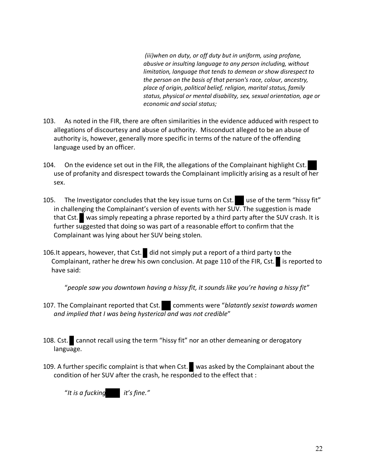*(iii)when on duty, or off duty but in uniform, using profane, abusive or insulting language to any person including, without limitation, language that tends to demean or show disrespect to the person on the basis of that person's race, colour, ancestry, place of origin, political belief, religion, marital status, family status, physical or mental disability, sex, sexual orientation, age or economic and social status;*

- 103. As noted in the FIR, there are often similarities in the evidence adduced with respect to allegations of discourtesy and abuse of authority. Misconduct alleged to be an abuse of authority is, however, generally more specific in terms of the nature of the offending language used by an officer.
- 104. On the evidence set out in the FIR, the allegations of the Complainant highlight Cst. use of profanity and disrespect towards the Complainant implicitly arising as a result of her sex.
- 105. The Investigator concludes that the key issue turns on Cst. use of the term "hissy fit" in challenging the Complainant's version of events with her SUV. The suggestion is made that Cst. was simply repeating a phrase reported by a third party after the SUV crash. It is further suggested that doing so was part of a reasonable effort to confirm that the Complainant was lying about her SUV being stolen.
- 106.It appears, however, that Cst. did not simply put a report of a third party to the Complainant, rather he drew his own conclusion. At page 110 of the FIR, Cst. is reported to have said:

"*people saw you downtown having a hissy fit, it sounds like you're having a hissy fit"*

- 107. The Complainant reported that Cst. comments were "blatantly sexist towards women *and implied that I was being hysterical and was not credible*"
- 108. Cst. cannot recall using the term "hissy fit" nor an other demeaning or derogatory language.
- 109. A further specific complaint is that when Cst. was asked by the Complainant about the condition of her SUV after the crash, he responded to the effect that :

"*It is a fucking it's fine."*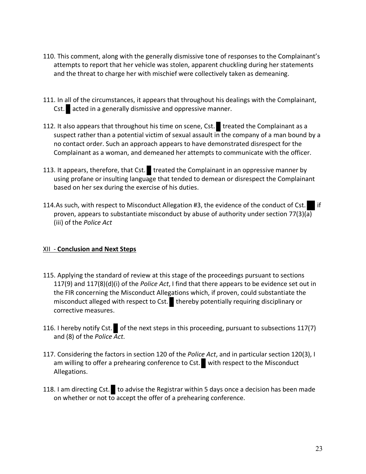- 110. This comment, along with the generally dismissive tone of responses to the Complainant's attempts to report that her vehicle was stolen, apparent chuckling during her statements and the threat to charge her with mischief were collectively taken as demeaning.
- 111. In all of the circumstances, it appears that throughout his dealings with the Complainant, Cst. acted in a generally dismissive and oppressive manner.
- 112. It also appears that throughout his time on scene, Cst. treated the Complainant as a suspect rather than a potential victim of sexual assault in the company of a man bound by a no contact order. Such an approach appears to have demonstrated disrespect for the Complainant as a woman, and demeaned her attempts to communicate with the officer.
- 113. It appears, therefore, that Cst. treated the Complainant in an oppressive manner by using profane or insulting language that tended to demean or disrespect the Complainant based on her sex during the exercise of his duties.
- 114.As such, with respect to Misconduct Allegation #3, the evidence of the conduct of Cst. proven, appears to substantiate misconduct by abuse of authority under section 77(3)(a) (iii) of the *Police Act*

## XII - **Conclusion and Next Steps**

- 115. Applying the standard of review at this stage of the proceedings pursuant to sections 117(9) and 117(8)(d)(i) of the *Police Act*, I find that there appears to be evidence set out in the FIR concerning the Misconduct Allegations which, if proven, could substantiate the misconduct alleged with respect to Cst. thereby potentially requiring disciplinary or corrective measures.
- 116. I hereby notify Cst. of the next steps in this proceeding, pursuant to subsections 117(7) and (8) of the *Police Act*.
- 117. Considering the factors in section 120 of the *Police Act*, and in particular section 120(3), I am willing to offer a prehearing conference to Cst. with respect to the Misconduct Allegations.
- 118. I am directing Cst. to advise the Registrar within 5 days once a decision has been made on whether or not to accept the offer of a prehearing conference.